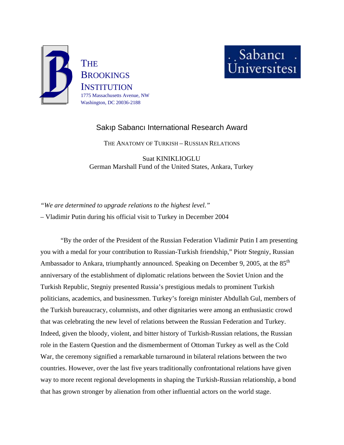



# Sakıp Sabancı International Research Award

THE ANATOMY OF TURKISH – RUSSIAN RELATIONS

Suat KINIKLIOGLU German Marshall Fund of the United States, Ankara, Turkey

*"We are determined to upgrade relations to the highest level."*  – Vladimir Putin during his official visit to Turkey in December 2004

"By the order of the President of the Russian Federation Vladimir Putin I am presenting you with a medal for your contribution to Russian-Turkish friendship," Piotr Stegniy, Russian Ambassador to Ankara, triumphantly announced. Speaking on December 9, 2005, at the 85<sup>th</sup> anniversary of the establishment of diplomatic relations between the Soviet Union and the Turkish Republic, Stegniy presented Russia's prestigious medals to prominent Turkish politicians, academics, and businessmen. Turkey's foreign minister Abdullah Gul, members of the Turkish bureaucracy, columnists, and other dignitaries were among an enthusiastic crowd that was celebrating the new level of relations between the Russian Federation and Turkey. Indeed, given the bloody, violent, and bitter history of Turkish-Russian relations, the Russian role in the Eastern Question and the dismemberment of Ottoman Turkey as well as the Cold War, the ceremony signified a remarkable turnaround in bilateral relations between the two countries. However, over the last five years traditionally confrontational relations have given way to more recent regional developments in shaping the Turkish-Russian relationship, a bond that has grown stronger by alienation from other influential actors on the world stage.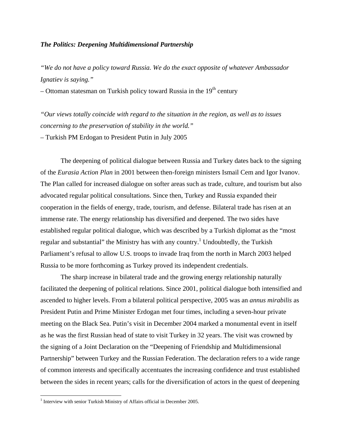### *The Politics: Deepening Multidimensional Partnership*

*"We do not have a policy toward Russia. We do the exact opposite of whatever Ambassador Ignatiev is saying."* 

– Ottoman statesman on Turkish policy toward Russia in the  $19<sup>th</sup>$  century

*"Our views totally coincide with regard to the situation in the region, as well as to issues concerning to the preservation of stability in the world."* 

– Turkish PM Erdogan to President Putin in July 2005

The deepening of political dialogue between Russia and Turkey dates back to the signing of the *Eurasia Action Plan* in 2001 between then-foreign ministers Ismail Cem and Igor Ivanov. The Plan called for increased dialogue on softer areas such as trade, culture, and tourism but also advocated regular political consultations. Since then, Turkey and Russia expanded their cooperation in the fields of energy, trade, tourism, and defense. Bilateral trade has risen at an immense rate. The energy relationship has diversified and deepened. The two sides have established regular political dialogue, which was described by a Turkish diplomat as the "most regular and substantial" the Ministry has with any country.<sup>1</sup> Undoubtedly, the Turkish Parliament's refusal to allow U.S. troops to invade Iraq from the north in March 2003 helped Russia to be more forthcoming as Turkey proved its independent credentials.

The sharp increase in bilateral trade and the growing energy relationship naturally facilitated the deepening of political relations. Since 2001, political dialogue both intensified and ascended to higher levels. From a bilateral political perspective, 2005 was an *annus mirabilis* as President Putin and Prime Minister Erdogan met four times, including a seven-hour private meeting on the Black Sea. Putin's visit in December 2004 marked a monumental event in itself as he was the first Russian head of state to visit Turkey in 32 years. The visit was crowned by the signing of a Joint Declaration on the "Deepening of Friendship and Multidimensional Partnership" between Turkey and the Russian Federation. The declaration refers to a wide range of common interests and specifically accentuates the increasing confidence and trust established between the sides in recent years; calls for the diversification of actors in the quest of deepening

<span id="page-1-0"></span><sup>&</sup>lt;sup>1</sup> Interview with senior Turkish Ministry of Affairs official in December 2005.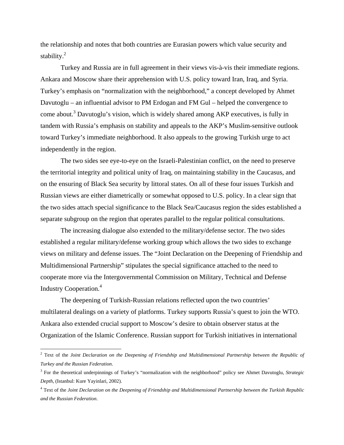the relationship and notes that both countries are Eurasian powers which value security and stability. $^{2}$  $^{2}$  $^{2}$ 

Turkey and Russia are in full agreement in their views vis-à-vis their immediate regions. Ankara and Moscow share their apprehension with U.S. policy toward Iran, Iraq, and Syria. Turkey's emphasis on "normalization with the neighborhood," a concept developed by Ahmet Davutoglu – an influential advisor to PM Erdogan and FM Gul – helped the convergence to come about.<sup>[3](#page-2-1)</sup> Davutoglu's vision, which is widely shared among AKP executives, is fully in tandem with Russia's emphasis on stability and appeals to the AKP's Muslim-sensitive outlook toward Turkey's immediate neighborhood. It also appeals to the growing Turkish urge to act independently in the region.

The two sides see eye-to-eye on the Israeli-Palestinian conflict, on the need to preserve the territorial integrity and political unity of Iraq, on maintaining stability in the Caucasus, and on the ensuring of Black Sea security by littoral states. On all of these four issues Turkish and Russian views are either diametrically or somewhat opposed to U.S. policy. In a clear sign that the two sides attach special significance to the Black Sea/Caucasus region the sides established a separate subgroup on the region that operates parallel to the regular political consultations.

 The increasing dialogue also extended to the military/defense sector. The two sides established a regular military/defense working group which allows the two sides to exchange views on military and defense issues. The "Joint Declaration on the Deepening of Friendship and Multidimensional Partnership" stipulates the special significance attached to the need to cooperate more via the Intergovernmental Commission on Military, Technical and Defense Industry Cooperation.<sup>4</sup>

The deepening of Turkish-Russian relations reflected upon the two countries' multilateral dealings on a variety of platforms. Turkey supports Russia's quest to join the WTO. Ankara also extended crucial support to Moscow's desire to obtain observer status at the Organization of the Islamic Conference. Russian support for Turkish initiatives in international

<span id="page-2-0"></span><sup>2</sup> Text of the *Joint Declaration on the Deepening of Friendship and Multidimensional Partnership between the Republic of Turkey and the Russian Federation*.

<span id="page-2-1"></span><sup>3</sup> For the theoretical underpinnings of Turkey's "normalization with the neighborhood" policy see Ahmet Davutoglu, *Strategic Depth*, (Istanbul: Kure Yayinlari, 2002).

<span id="page-2-2"></span><sup>4</sup> Text of the *Joint Declaration on the Deepening of Friendship and Multidimensional Partnership between the Turkish Republic and the Russian Federation*.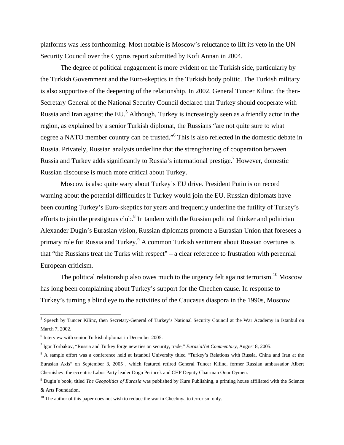platforms was less forthcoming. Most notable is Moscow's reluctance to lift its veto in the UN Security Council over the Cyprus report submitted by Kofi Annan in 2004.

The degree of political engagement is more evident on the Turkish side, particularly by the Turkish Government and the Euro-skeptics in the Turkish body politic. The Turkish military is also supportive of the deepening of the relationship. In 2002, General Tuncer Kilinc, the then-Secretary General of the National Security Council declared that Turkey should cooperate with Russia and Iran against the EU.<sup>5</sup> Although, Turkey is increasingly seen as a friendly actor in the region, as explained by a senior Turkish diplomat, the Russians "are not quite sure to what degree a NATO member country can be trusted."<sup>[6](#page-3-1)</sup> This is also reflected in the domestic debate in Russia. Privately, Russian analysts underline that the strengthening of cooperation between Russia and Turkey adds significantly to Russia's international prestige.<sup>[7](#page-3-2)</sup> However, domestic Russian discourse is much more critical about Turkey.

Moscow is also quite wary about Turkey's EU drive. President Putin is on record warning about the potential difficulties if Turkey would join the EU. Russian diplomats have been courting Turkey's Euro-skeptics for years and frequently underline the futility of Turkey's efforts to join the prestigious club. $8$  In tandem with the Russian political thinker and politician Alexander Dugin's Eurasian vision, Russian diplomats promote a Eurasian Union that foresees a primary role for Russia and Turkey.<sup>[9](#page-3-4)</sup> A common Turkish sentiment about Russian overtures is that "the Russians treat the Turks with respect" – a clear reference to frustration with perennial European criticism.

The political relationship also owes much to the urgency felt against terrorism.<sup>10</sup> Moscow has long been complaining about Turkey's support for the Chechen cause. In response to Turkey's turning a blind eye to the activities of the Caucasus diaspora in the 1990s, Moscow

<span id="page-3-0"></span><sup>&</sup>lt;sup>5</sup> Speech by Tuncer Kilinc, then Secretary-General of Turkey's National Security Council at the War Academy in Istanbul on March 7, 2002.

<span id="page-3-1"></span><sup>6</sup> Interview with senior Turkish diplomat in December 2005.

<span id="page-3-2"></span><sup>7</sup> Igor Torbakov, "Russia and Turkey forge new ties on security, trade," *EurasiaNet Commentary*, August 8, 2005.

<span id="page-3-3"></span><sup>&</sup>lt;sup>8</sup> A sample effort was a conference held at Istanbul University titled "Turkey's Relations with Russia, China and Iran at the Eurasian Axis" on September 3, 2005 , which featured retired General Tuncer Kilinc, former Russian ambassador Albert Chernishev, the eccentric Labor Party leader Dogu Perincek and CHP Deputy Chairman Onur Oymen.

<span id="page-3-4"></span><sup>9</sup> Dugin's book, titled *The Geopolitics of Eurasia* was published by Kure Publishing, a printing house affiliated with the Science & Arts Foundation.

<span id="page-3-5"></span> $10$  The author of this paper does not wish to reduce the war in Chechnya to terrorism only.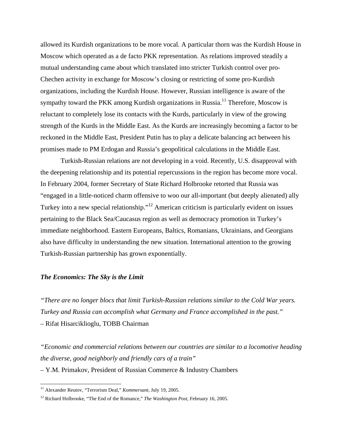allowed its Kurdish organizations to be more vocal. A particular thorn was the Kurdish House in Moscow which operated as a de facto PKK representation. As relations improved steadily a mutual understanding came about which translated into stricter Turkish control over pro-Chechen activity in exchange for Moscow's closing or restricting of some pro-Kurdish organizations, including the Kurdish House. However, Russian intelligence is aware of the sympathy toward the PKK among Kurdish organizations in Russia.<sup>11</sup> Therefore, Moscow is reluctant to completely lose its contacts with the Kurds, particularly in view of the growing strength of the Kurds in the Middle East. As the Kurds are increasingly becoming a factor to be reckoned in the Middle East, President Putin has to play a delicate balancing act between his promises made to PM Erdogan and Russia's geopolitical calculations in the Middle East.

Turkish-Russian relations are not developing in a void. Recently, U.S. disapproval with the deepening relationship and its potential repercussions in the region has become more vocal. In February 2004, former Secretary of State Richard Holbrooke retorted that Russia was "engaged in a little-noticed charm offensive to woo our all-important (but deeply alienated) ally Turkey into a new special relationship."[12](#page-4-1) American criticism is particularly evident on issues pertaining to the Black Sea/Caucasus region as well as democracy promotion in Turkey's immediate neighborhood. Eastern Europeans, Baltics, Romanians, Ukrainians, and Georgians also have difficulty in understanding the new situation. International attention to the growing Turkish-Russian partnership has grown exponentially.

### *The Economics: The Sky is the Limit*

*"There are no longer blocs that limit Turkish-Russian relations similar to the Cold War years. Turkey and Russia can accomplish what Germany and France accomplished in the past."*  – Rifat Hisarciklioglu, TOBB Chairman

*"Economic and commercial relations between our countries are similar to a locomotive heading the diverse, good neighborly and friendly cars of a train"*  – Y.M. Primakov, President of Russian Commerce & Industry Chambers

<span id="page-4-0"></span><sup>11</sup> Alexander Reutov, "Terrorism Deal," *Kommersant,* July 19, 2005.

<span id="page-4-1"></span><sup>12</sup> Richard Holbrooke, "The End of the Romance," *The Washington Post*, February 16, 2005.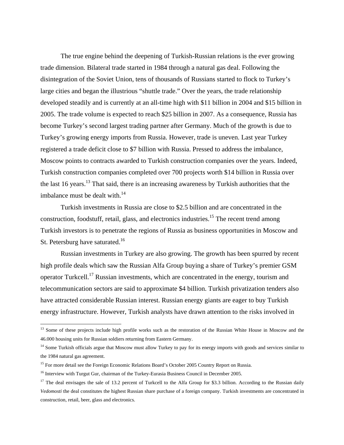The true engine behind the deepening of Turkish-Russian relations is the ever growing trade dimension. Bilateral trade started in 1984 through a natural gas deal. Following the disintegration of the Soviet Union, tens of thousands of Russians started to flock to Turkey's large cities and began the illustrious "shuttle trade." Over the years, the trade relationship developed steadily and is currently at an all-time high with \$11 billion in 2004 and \$15 billion in 2005. The trade volume is expected to reach \$25 billion in 2007. As a consequence, Russia has become Turkey's second largest trading partner after Germany. Much of the growth is due to Turkey's growing energy imports from Russia. However, trade is uneven. Last year Turkey registered a trade deficit close to \$7 billion with Russia. Pressed to address the imbalance, Moscow points to contracts awarded to Turkish construction companies over the years. Indeed, Turkish construction companies completed over 700 projects worth \$14 billion in Russia over the last 16 years.<sup>13</sup> That said, there is an increasing awareness by Turkish authorities that the imbalance must be dealt with. $^{14}$ 

Turkish investments in Russia are close to \$2.5 billion and are concentrated in the construction, foodstuff, retail, glass, and electronics industries.<sup>15</sup> The recent trend among Turkish investors is to penetrate the regions of Russia as business opportunities in Moscow and St. Petersburg have saturated.<sup>16</sup>

Russian investments in Turkey are also growing. The growth has been spurred by recent high profile deals which saw the Russian Alfa Group buying a share of Turkey's premier GSM operator Turkcell.[17](#page-5-4) Russian investments, which are concentrated in the energy, tourism and telecommunication sectors are said to approximate \$4 billion. Turkish privatization tenders also have attracted considerable Russian interest. Russian energy giants are eager to buy Turkish energy infrastructure. However, Turkish analysts have drawn attention to the risks involved in

<span id="page-5-0"></span><sup>&</sup>lt;sup>13</sup> Some of these projects include high profile works such as the restoration of the Russian White House in Moscow and the 46.000 housing units for Russian soldiers returning from Eastern Germany.

<span id="page-5-1"></span><sup>&</sup>lt;sup>14</sup> Some Turkish officials argue that Moscow must allow Turkey to pay for its energy imports with goods and services similar to the 1984 natural gas agreement.

<span id="page-5-2"></span><sup>&</sup>lt;sup>15</sup> For more detail see the Foreign Economic Relations Board's October 2005 Country Report on Russia.

<span id="page-5-3"></span><sup>&</sup>lt;sup>16</sup> Interview with Turgut Gur, chairman of the Turkey-Eurasia Business Council in December 2005.

<span id="page-5-4"></span><sup>&</sup>lt;sup>17</sup> The deal envisages the sale of 13.2 percent of Turkcell to the Alfa Group for \$3.3 billion. According to the Russian daily *Vedomosti* the deal constitutes the highest Russian share purchase of a foreign company. Turkish investments are concentrated in construction, retail, beer, glass and electronics.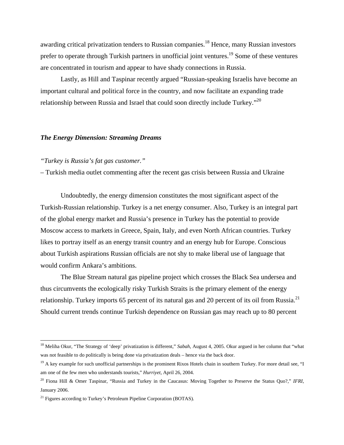awarding critical privatization tenders to Russian companies.<sup>18</sup> Hence, many Russian investors prefer to operate through Turkish partners in unofficial joint ventures.<sup>19</sup> Some of these ventures are concentrated in tourism and appear to have shady connections in Russia.

Lastly, as Hill and Taspinar recently argued "Russian-speaking Israelis have become an important cultural and political force in the country, and now facilitate an expanding trade relationship between Russia and Israel that could soon directly include Turkey."<sup>20</sup>

### *The Energy Dimension: Streaming Dreams*

### *"Turkey is Russia's fat gas customer."*

<u>.</u>

– Turkish media outlet commenting after the recent gas crisis between Russia and Ukraine

Undoubtedly, the energy dimension constitutes the most significant aspect of the Turkish-Russian relationship. Turkey is a net energy consumer. Also, Turkey is an integral part of the global energy market and Russia's presence in Turkey has the potential to provide Moscow access to markets in Greece, Spain, Italy, and even North African countries. Turkey likes to portray itself as an energy transit country and an energy hub for Europe. Conscious about Turkish aspirations Russian officials are not shy to make liberal use of language that would confirm Ankara's ambitions.

The Blue Stream natural gas pipeline project which crosses the Black Sea undersea and thus circumvents the ecologically risky Turkish Straits is the primary element of the energy relationship. Turkey imports 65 percent of its natural gas and 20 percent of its oil from Russia.<sup>[21](#page-6-3)</sup> Should current trends continue Turkish dependence on Russian gas may reach up to 80 percent

<span id="page-6-0"></span><sup>&</sup>lt;sup>18</sup> Meliha Okur, "The Strategy of 'deep' privatization is different," Sabah, August 4, 2005. Okur argued in her column that "what was not feasible to do politically is being done via privatization deals – hence via the back door.

<span id="page-6-1"></span> $19$  A key example for such unofficial partnerships is the prominent Rixos Hotels chain in southern Turkey. For more detail see, "I am one of the few men who understands tourists," *Hurriyet*, April 26, 2004.

<span id="page-6-2"></span><sup>20</sup> Fiona Hill & Omer Taspinar, "Russia and Turkey in the Caucasus: Moving Together to Preserve the Status Quo?," *IFRI*, January 2006.

<span id="page-6-3"></span><sup>&</sup>lt;sup>21</sup> Figures according to Turkey's Petroleum Pipeline Corporation (BOTAS).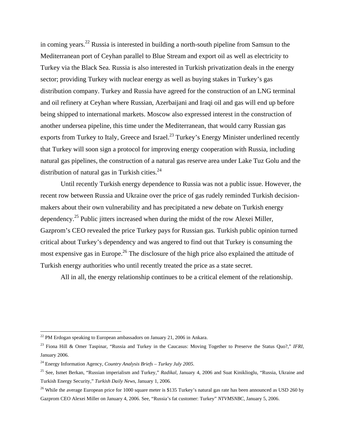in coming years.<sup>22</sup> Russia is interested in building a north-south pipeline from Samsun to the Mediterranean port of Ceyhan parallel to Blue Stream and export oil as well as electricity to Turkey via the Black Sea. Russia is also interested in Turkish privatization deals in the energy sector; providing Turkey with nuclear energy as well as buying stakes in Turkey's gas distribution company. Turkey and Russia have agreed for the construction of an LNG terminal and oil refinery at Ceyhan where Russian, Azerbaijani and Iraqi oil and gas will end up before being shipped to international markets. Moscow also expressed interest in the construction of another undersea pipeline, this time under the Mediterranean, that would carry Russian gas exports from Turkey to Italy, Greece and Israel.<sup>23</sup> Turkey's Energy Minister underlined recently that Turkey will soon sign a protocol for improving energy cooperation with Russia, including natural gas pipelines, the construction of a natural gas reserve area under Lake Tuz Golu and the distribution of natural gas in Turkish cities. $24$ 

Until recently Turkish energy dependence to Russia was not a public issue. However, the recent row between Russia and Ukraine over the price of gas rudely reminded Turkish decisionmakers about their own vulnerability and has precipitated a new debate on Turkish energy dependency[.25](#page-7-3) Public jitters increased when during the midst of the row Alexei Miller, Gazprom's CEO revealed the price Turkey pays for Russian gas. Turkish public opinion turned critical about Turkey's dependency and was angered to find out that Turkey is consuming the most expensive gas in Europe.<sup>26</sup> The disclosure of the high price also explained the attitude of Turkish energy authorities who until recently treated the price as a state secret.

All in all, the energy relationship continues to be a critical element of the relationship.

<span id="page-7-0"></span> $^{22}$  PM Erdogan speaking to European ambassadors on January 21, 2006 in Ankara.

<span id="page-7-1"></span><sup>23</sup> Fiona Hill & Omer Taspinar, "Russia and Turkey in the Caucasus: Moving Together to Preserve the Status Quo?," *IFRI*, January 2006.

<span id="page-7-2"></span><sup>24</sup> Energy Information Agency, *Country Analysis Briefs – Turkey July 2005*.

<span id="page-7-3"></span><sup>25</sup> See, Ismet Berkan, "Russian imperialism and Turkey," *Radikal*, January 4, 2006 and Suat Kiniklioglu, "Russia, Ukraine and Turkish Energy Security," *Turkish Daily News*, January 1, 2006.

<span id="page-7-4"></span><sup>&</sup>lt;sup>26</sup> While the average European price for 1000 square meter is \$135 Turkey's natural gas rate has been announced as USD 260 by Gazprom CEO Alexei Miller on January 4, 2006. See, "Russia's fat customer: Turkey" *NTVMSNBC*, January 5, 2006.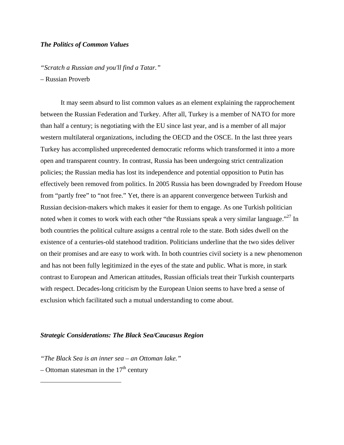### *The Politics of Common Values*

*"Scratch a Russian and you'll find a Tatar."* 

– Russian Proverb

It may seem absurd to list common values as an element explaining the rapprochement between the Russian Federation and Turkey. After all, Turkey is a member of NATO for more than half a century; is negotiating with the EU since last year, and is a member of all major western multilateral organizations, including the OECD and the OSCE. In the last three years Turkey has accomplished unprecedented democratic reforms which transformed it into a more open and transparent country. In contrast, Russia has been undergoing strict centralization policies; the Russian media has lost its independence and potential opposition to Putin has effectively been removed from politics. In 2005 Russia has been downgraded by Freedom House from "partly free" to "not free." Yet, there is an apparent convergence between Turkish and Russian decision-makers which makes it easier for them to engage. As one Turkish politician noted when it comes to work with each other "the Russians speak a very similar language."<sup>27</sup> In both countries the political culture assigns a central role to the state. Both sides dwell on the existence of a centuries-old statehood tradition. Politicians underline that the two sides deliver on their promises and are easy to work with. In both countries civil society is a new phenomenon and has not been fully legitimized in the eyes of the state and public. What is more, in stark contrast to European and American attitudes, Russian officials treat their Turkish counterparts with respect. Decades-long criticism by the European Union seems to have bred a sense of exclusion which facilitated such a mutual understanding to come about.

### *Strategic Considerations: The Black Sea/Caucasus Region*

*"The Black Sea is an inner sea – an Ottoman lake."* 

<span id="page-8-0"></span>– Ottoman statesman in the  $17<sup>th</sup>$  century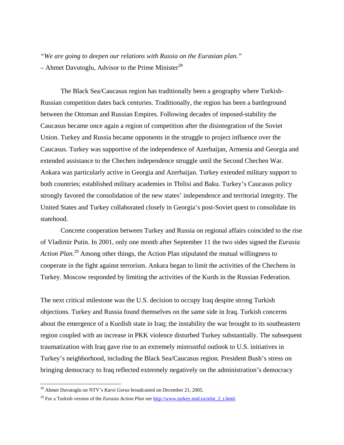*"We are going to deepen our relations with Russia on the Eurasian plan."*  – Ahmet Davutoglu, Advisor to the Prime Minister<sup>28</sup>

The Black Sea/Caucasus region has traditionally been a geography where Turkish-Russian competition dates back centuries. Traditionally, the region has been a battleground between the Ottoman and Russian Empires. Following decades of imposed-stability the Caucasus became once again a region of competition after the disintegration of the Soviet Union. Turkey and Russia became opponents in the struggle to project influence over the Caucasus. Turkey was supportive of the independence of Azerbaijan, Armenia and Georgia and extended assistance to the Chechen independence struggle until the Second Chechen War. Ankara was particularly active in Georgia and Azerbaijan. Turkey extended military support to both countries; established military academies in Tbilisi and Baku. Turkey's Caucasus policy strongly favored the consolidation of the new states' independence and territorial integrity. The United States and Turkey collaborated closely in Georgia's post-Soviet quest to consolidate its statehood.

 Concrete cooperation between Turkey and Russia on regional affairs coincided to the rise of Vladimir Putin. In 2001, only one month after September 11 the two sides signed the *Eurasia Action Plan*. [29](#page-9-1) Among other things, the Action Plan stipulated the mutual willingness to cooperate in the fight against terrorism. Ankara began to limit the activities of the Chechens in Turkey. Moscow responded by limiting the activities of the Kurds in the Russian Federation.

The next critical milestone was the U.S. decision to occupy Iraq despite strong Turkish objections. Turkey and Russia found themselves on the same side in Iraq. Turkish concerns about the emergence of a Kurdish state in Iraq; the instability the war brought to its southeastern region coupled with an increase in PKK violence disturbed Turkey substantially. The subsequent traumatization with Iraq gave rise to an extremely mistrustful outlook to U.S. initiatives in Turkey's neighborhood, including the Black Sea/Caucasus region. President Bush's stress on bringing democracy to Iraq reflected extremely negatively on the administration's democracy

<span id="page-9-0"></span><sup>28</sup> Ahmet Davutoglu on NTV's *Karsi Gorus* broadcasted on December 21, 2005.

<span id="page-9-1"></span><sup>&</sup>lt;sup>29</sup> For a Turkish version of the *Eurasia Action Plan* see [http://www.turkey.mid.ru/relat\\_2\\_t.html](http://www.turkey.mid.ru/relat_2_t.html).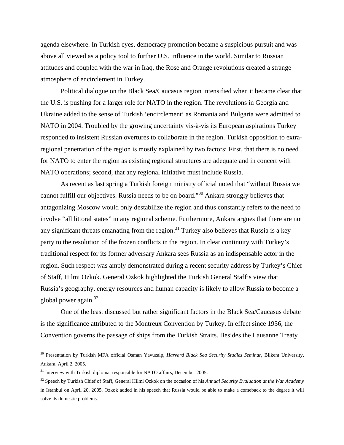agenda elsewhere. In Turkish eyes, democracy promotion became a suspicious pursuit and was above all viewed as a policy tool to further U.S. influence in the world. Similar to Russian attitudes and coupled with the war in Iraq, the Rose and Orange revolutions created a strange atmosphere of encirclement in Turkey.

Political dialogue on the Black Sea/Caucasus region intensified when it became clear that the U.S. is pushing for a larger role for NATO in the region. The revolutions in Georgia and Ukraine added to the sense of Turkish 'encirclement' as Romania and Bulgaria were admitted to NATO in 2004. Troubled by the growing uncertainty vis-à-vis its European aspirations Turkey responded to insistent Russian overtures to collaborate in the region. Turkish opposition to extraregional penetration of the region is mostly explained by two factors: First, that there is no need for NATO to enter the region as existing regional structures are adequate and in concert with NATO operations; second, that any regional initiative must include Russia.

As recent as last spring a Turkish foreign ministry official noted that "without Russia we cannot fulfill our objectives. Russia needs to be on board."[30](#page-10-0) Ankara strongly believes that antagonizing Moscow would only destabilize the region and thus constantly refers to the need to involve "all littoral states" in any regional scheme. Furthermore, Ankara argues that there are not any significant threats emanating from the region.<sup>31</sup> Turkey also believes that Russia is a key party to the resolution of the frozen conflicts in the region. In clear continuity with Turkey's traditional respect for its former adversary Ankara sees Russia as an indispensable actor in the region. Such respect was amply demonstrated during a recent security address by Turkey's Chief of Staff, Hilmi Ozkok. General Ozkok highlighted the Turkish General Staff's view that Russia's geography, energy resources and human capacity is likely to allow Russia to become a global power again[.32](#page-10-2) 

One of the least discussed but rather significant factors in the Black Sea/Caucasus debate is the significance attributed to the Montreux Convention by Turkey. In effect since 1936, the Convention governs the passage of ships from the Turkish Straits. Besides the Lausanne Treaty

<span id="page-10-0"></span><sup>30</sup> Presentation by Turkish MFA official Osman Yavuzalp, *Harvard Black Sea Security Studies Seminar*, Bilkent University, Ankara, April 2, 2005.

<span id="page-10-1"></span> $31$  Interview with Turkish diplomat responsible for NATO affairs, December 2005.

<span id="page-10-2"></span><sup>32</sup> Speech by Turkish Chief of Staff, General Hilmi Ozkok on the occasion of his *Annual Security Evaluation at the War Academy* in Istanbul on April 20, 2005. Ozkok added in his speech that Russia would be able to make a comeback to the degree it will solve its domestic problems.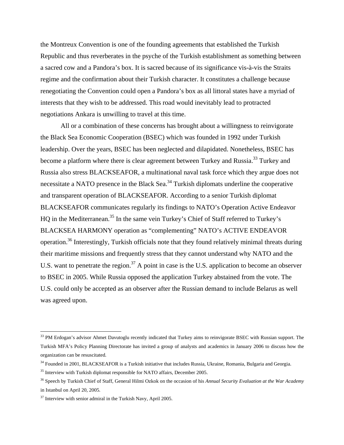the Montreux Convention is one of the founding agreements that established the Turkish Republic and thus reverberates in the psyche of the Turkish establishment as something between a sacred cow and a Pandora's box. It is sacred because of its significance vis-à-vis the Straits regime and the confirmation about their Turkish character. It constitutes a challenge because renegotiating the Convention could open a Pandora's box as all littoral states have a myriad of interests that they wish to be addressed. This road would inevitably lead to protracted negotiations Ankara is unwilling to travel at this time.

All or a combination of these concerns has brought about a willingness to reinvigorate the Black Sea Economic Cooperation (BSEC) which was founded in 1992 under Turkish leadership. Over the years, BSEC has been neglected and dilapidated. Nonetheless, BSEC has become a platform where there is clear agreement between Turkey and Russia.<sup>33</sup> Turkey and Russia also stress BLACKSEAFOR, a multinational naval task force which they argue does not necessitate a NATO presence in the Black Sea.<sup>34</sup> Turkish diplomats underline the cooperative and transparent operation of BLACKSEAFOR. According to a senior Turkish diplomat BLACKSEAFOR communicates regularly its findings to NATO's Operation Active Endeavor HQ in the Mediterranean.<sup>35</sup> In the same vein Turkey's Chief of Staff referred to Turkey's BLACKSEA HARMONY operation as "complementing" NATO's ACTIVE ENDEAVOR operation[.36](#page-11-3) Interestingly, Turkish officials note that they found relatively minimal threats during their maritime missions and frequently stress that they cannot understand why NATO and the U.S. want to penetrate the region.<sup>37</sup> A point in case is the U.S. application to become an observer to BSEC in 2005. While Russia opposed the application Turkey abstained from the vote. The U.S. could only be accepted as an observer after the Russian demand to include Belarus as well was agreed upon.

<span id="page-11-0"></span><sup>&</sup>lt;sup>33</sup> PM Erdogan's advisor Ahmet Davutoglu recently indicated that Turkey aims to reinvigorate BSEC with Russian support. The Turkish MFA's Policy Planning Directorate has invited a group of analysts and academics in January 2006 to discuss how the organization can be resuscitated.

<span id="page-11-1"></span><sup>&</sup>lt;sup>34</sup> Founded in 2001, BLACKSEAFOR is a Turkish initiative that includes Russia, Ukraine, Romania, Bulgaria and Georgia.

<span id="page-11-2"></span><sup>&</sup>lt;sup>35</sup> Interview with Turkish diplomat responsible for NATO affairs, December 2005.

<span id="page-11-3"></span><sup>36</sup> Speech by Turkish Chief of Staff, General Hilmi Ozkok on the occasion of his *Annual Security Evaluation at the War Academy* in Istanbul on April 20, 2005.

<span id="page-11-4"></span> $37$  Interview with senior admiral in the Turkish Navy, April 2005.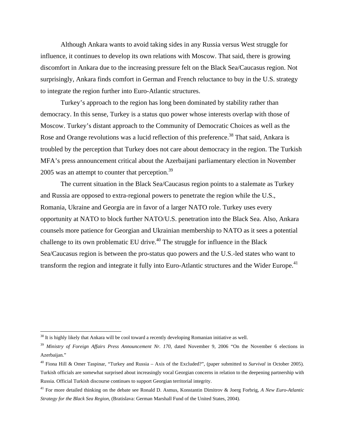Although Ankara wants to avoid taking sides in any Russia versus West struggle for influence, it continues to develop its own relations with Moscow. That said, there is growing discomfort in Ankara due to the increasing pressure felt on the Black Sea/Caucasus region. Not surprisingly, Ankara finds comfort in German and French reluctance to buy in the U.S. strategy to integrate the region further into Euro-Atlantic structures.

Turkey's approach to the region has long been dominated by stability rather than democracy. In this sense, Turkey is a status quo power whose interests overlap with those of Moscow. Turkey's distant approach to the Community of Democratic Choices as well as the Rose and Orange revolutions was a lucid reflection of this preference.<sup>38</sup> That said, Ankara is troubled by the perception that Turkey does not care about democracy in the region. The Turkish MFA's press announcement critical about the Azerbaijani parliamentary election in November 2005 was an attempt to counter that perception.<sup>39</sup>

The current situation in the Black Sea/Caucasus region points to a stalemate as Turkey and Russia are opposed to extra-regional powers to penetrate the region while the U.S., Romania, Ukraine and Georgia are in favor of a larger NATO role. Turkey uses every opportunity at NATO to block further NATO/U.S. penetration into the Black Sea. Also, Ankara counsels more patience for Georgian and Ukrainian membership to NATO as it sees a potential challenge to its own problematic EU drive.<sup> $40$ </sup> The struggle for influence in the Black Sea/Caucasus region is between the pro-status quo powers and the U.S.-led states who want to transform the region and integrate it fully into Euro-Atlantic structures and the Wider Europe.<sup>41</sup>

<span id="page-12-0"></span> $38$  It is highly likely that Ankara will be cool toward a recently developing Romanian initiative as well.

<span id="page-12-1"></span><sup>&</sup>lt;sup>39</sup> Ministry of Foreign Affairs Press Announcement Nr. 170, dated November 9, 2006 "On the November 6 elections in Azerbaijan."

<span id="page-12-2"></span><sup>40</sup> Fiona Hill & Omer Taspinar, "Turkey and Russia – Axis of the Excluded?", (paper submitted to *Survival* in October 2005). Turkish officials are somewhat surprised about increasingly vocal Georgian concerns in relation to the deepening partnership with Russia. Official Turkish discourse continues to support Georgian territorial integrity.

<span id="page-12-3"></span><sup>41</sup> For more detailed thinking on the debate see Ronald D. Asmus, Konstantin Dimitrov & Joerg Forbrig, *A New Euro-Atlantic Strategy for the Black Sea Region*, (Bratislava: German Marshall Fund of the United States, 2004).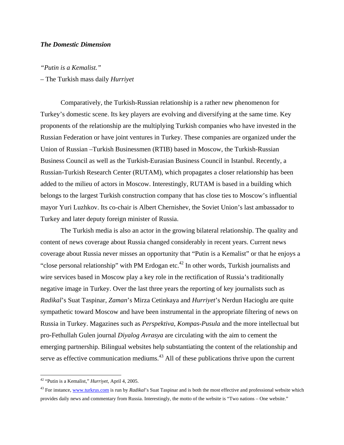# *The Domestic Dimension*

### *"Putin is a Kemalist."*

### – The Turkish mass daily *Hurriyet*

Comparatively, the Turkish-Russian relationship is a rather new phenomenon for Turkey's domestic scene. Its key players are evolving and diversifying at the same time. Key proponents of the relationship are the multiplying Turkish companies who have invested in the Russian Federation or have joint ventures in Turkey. These companies are organized under the Union of Russian –Turkish Businessmen (RTIB) based in Moscow, the Turkish-Russian Business Council as well as the Turkish-Eurasian Business Council in Istanbul. Recently, a Russian-Turkish Research Center (RUTAM), which propagates a closer relationship has been added to the milieu of actors in Moscow. Interestingly, RUTAM is based in a building which belongs to the largest Turkish construction company that has close ties to Moscow's influential mayor Yuri Luzhkov. Its co-chair is Albert Chernishev, the Soviet Union's last ambassador to Turkey and later deputy foreign minister of Russia.

The Turkish media is also an actor in the growing bilateral relationship. The quality and content of news coverage about Russia changed considerably in recent years. Current news coverage about Russia never misses an opportunity that "Putin is a Kemalist" or that he enjoys a "close personal relationship" with PM Erdogan etc.<sup>42</sup> In other words, Turkish journalists and wire services based in Moscow play a key role in the rectification of Russia's traditionally negative image in Turkey. Over the last three years the reporting of key journalists such as *Radikal*'s Suat Taspinar, *Zaman*'s Mirza Cetinkaya and *Hurriyet*'s Nerdun Hacioglu are quite sympathetic toward Moscow and have been instrumental in the appropriate filtering of news on Russia in Turkey. Magazines such as *Perspektiva*, *Kompas-Pusula* and the more intellectual but pro-Fethullah Gulen journal *Diyalog Avrasya* are circulating with the aim to cement the emerging partnership. Bilingual websites help substantiating the content of the relationship and serve as effective communication mediums.<sup>43</sup> All of these publications thrive upon the current

<span id="page-13-0"></span><sup>42 &</sup>quot;Putin is a Kemalist," *Hurriyet*, April 4, 2005.

<span id="page-13-1"></span><sup>43</sup> For instance, [www.turkrus.com](http://www.turkrus.com/) is run by *Radikal*'s Suat Taspinar and is both the most effective and professional website which provides daily news and commentary from Russia. Interestingly, the motto of the website is "Two nations – One website."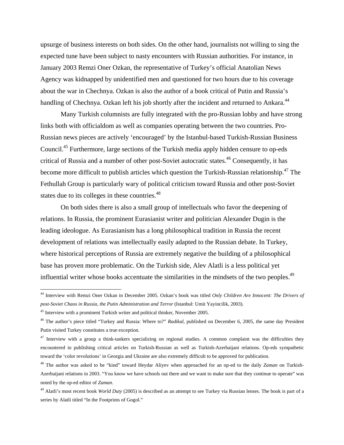upsurge of business interests on both sides. On the other hand, journalists not willing to sing the expected tune have been subject to nasty encounters with Russian authorities. For instance, in January 2003 Remzi Oner Ozkan, the representative of Turkey's official Anatolian News Agency was kidnapped by unidentified men and questioned for two hours due to his coverage about the war in Chechnya. Ozkan is also the author of a book critical of Putin and Russia's handling of Chechnya. Ozkan left his job shortly after the incident and returned to Ankara.<sup>44</sup>

Many Turkish columnists are fully integrated with the pro-Russian lobby and have strong links both with officialdom as well as companies operating between the two countries. Pro-Russian news pieces are actively 'encouraged' by the Istanbul-based Turkish-Russian Business Council[.45](#page-14-1) Furthermore, large sections of the Turkish media apply hidden censure to op-eds critical of Russia and a number of other post-Soviet autocratic states.<sup>46</sup> Consequently, it has become more difficult to publish articles which question the Turkish-Russian relationship.<sup>47</sup> The Fethullah Group is particularly wary of political criticism toward Russia and other post-Soviet states due to its colleges in these countries.<sup>48</sup>

On both sides there is also a small group of intellectuals who favor the deepening of relations. In Russia, the prominent Eurasianist writer and politician Alexander Dugin is the leading ideologue. As Eurasianism has a long philosophical tradition in Russia the recent development of relations was intellectually easily adapted to the Russian debate. In Turkey, where historical perceptions of Russia are extremely negative the building of a philosophical base has proven more problematic. On the Turkish side, Alev Alatli is a less political yet influential writer whose books accentuate the similarities in the mindsets of the two peoples.<sup>[49](#page-14-5)</sup>

<span id="page-14-0"></span><sup>44</sup> Interview with Remzi Oner Ozkan in December 2005. Ozkan's book was titled *Only Children Are Innocent: The Drivers of post-Soviet Chaos in Russia, the Putin Administration and Terror* (Istanbul: Umit Yayincilik, 2003).

<span id="page-14-1"></span><sup>45</sup> Interview with a prominent Turkish writer and political thinker, November 2005.

<span id="page-14-2"></span><sup>46</sup> The author's piece titled "Turkey and Russia: Where to?" *Radikal*, published on December 6, 2005, the same day President Putin visited Turkey constitutes a true exception.

<span id="page-14-3"></span> $47$  Interview with a group a think-tankers specializing on regional studies. A common complaint was the difficulties they encountered in publishing critical articles on Turkish-Russian as well as Turkish-Azerbaijani relations. Op-eds sympathetic toward the 'color revolutions' in Georgia and Ukraine are also extremely difficult to be approved for publication.

<span id="page-14-4"></span><sup>48</sup> The author was asked to be "kind" toward Heydar Aliyev when approached for an op-ed to the daily *Zaman* on Turkish-Azerbaijani relations in 2003. "You know we have schools out there and we want to make sure that they continue to operate" was noted by the op-ed editor of *Zaman*.

<span id="page-14-5"></span><sup>49</sup> Alatli's most recent book *World Duty* (2005) is described as an attempt to see Turkey via Russian lenses. The book is part of a series by Alatli titled "In the Footprints of Gogol."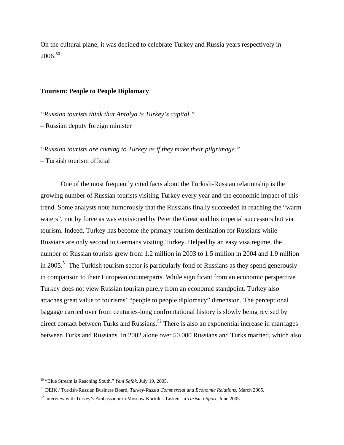On the cultural plane, it was decided to celebrate Turkey and Russia years respectively in 2006.[50](#page-15-0)

## **Tourism: People to People Diplomacy**

*"Russian tourists think that Antalya is Turkey's capital."* 

– Russian deputy foreign minister

*"Russian tourists are coming to Turkey as if they make their pilgrimage."* 

– Turkish tourism official

One of the most frequently cited facts about the Turkish-Russian relationship is the growing number of Russian tourists visiting Turkey every year and the economic impact of this trend. Some analysts note humorously that the Russians finally succeeded in reaching the "warm waters", not by force as was envisioned by Peter the Great and his imperial successors but via tourism. Indeed, Turkey has become the primary tourism destination for Russians while Russians are only second to Germans visiting Turkey. Helped by an easy visa regime, the number of Russian tourists grew from 1.2 million in 2003 to 1.5 million in 2004 and 1.9 million in 2005.<sup>51</sup> The Turkish tourism sector is particularly fond of Russians as they spend generously in comparison to their European counterparts. While significant from an economic perspective Turkey does not view Russian tourism purely from an economic standpoint. Turkey also attaches great value to tourisms' "people to people diplomacy" dimension. The perceptional baggage carried over from centuries-long confrontational history is slowly being revised by direct contact between Turks and Russians.<sup>52</sup> There is also an exponential increase in marriages between Turks and Russians. In 2002 alone over 50.000 Russians and Turks married, which also

<span id="page-15-0"></span><sup>50 &</sup>quot;Blue Stream is Reaching South," *Yeni Safak*, July 19, 2005.

<span id="page-15-1"></span><sup>51</sup> DEIK / Turkish-Russian Business Board, *Turkey-Russia Commercial and Economic Relations*, March 2005.

<span id="page-15-2"></span><sup>52</sup> Interview with Turkey's Ambassador in Moscow Kurtulus Taskent in *Turism i Sport*, June 2005.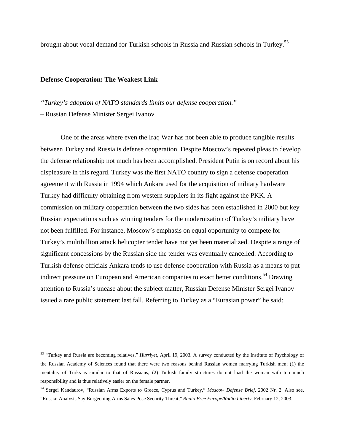brought about vocal demand for Turkish schools in Russia and Russian schools in Turkey[.53](#page-16-0) 

#### **Defense Cooperation: The Weakest Link**

*"Turkey's adoption of NATO standards limits our defense cooperation."* 

– Russian Defense Minister Sergei Ivanov

1

One of the areas where even the Iraq War has not been able to produce tangible results between Turkey and Russia is defense cooperation. Despite Moscow's repeated pleas to develop the defense relationship not much has been accomplished. President Putin is on record about his displeasure in this regard. Turkey was the first NATO country to sign a defense cooperation agreement with Russia in 1994 which Ankara used for the acquisition of military hardware Turkey had difficulty obtaining from western suppliers in its fight against the PKK. A commission on military cooperation between the two sides has been established in 2000 but key Russian expectations such as winning tenders for the modernization of Turkey's military have not been fulfilled. For instance, Moscow's emphasis on equal opportunity to compete for Turkey's multibillion attack helicopter tender have not yet been materialized. Despite a range of significant concessions by the Russian side the tender was eventually cancelled. According to Turkish defense officials Ankara tends to use defense cooperation with Russia as a means to put indirect pressure on European and American companies to exact better conditions.<sup>54</sup> Drawing attention to Russia's unease about the subject matter, Russian Defense Minister Sergei Ivanov issued a rare public statement last fall. Referring to Turkey as a "Eurasian power" he said:

<span id="page-16-0"></span><sup>53 &</sup>quot;Turkey and Russia are becoming relatives," *Hurriyet*, April 19, 2003. A survey conducted by the Institute of Psychology of the Russian Academy of Sciences found that there were two reasons behind Russian women marrying Turkish men; (1) the mentality of Turks is similar to that of Russians; (2) Turkish family structures do not load the woman with too much responsibility and is thus relatively easier on the female partner.

<span id="page-16-1"></span><sup>54</sup> Sergei Kandaurov, "Russian Arms Exports to Greece, Cyprus and Turkey," *Moscow Defense Brief*, 2002 Nr. 2. Also see, "Russia: Analysts Say Burgeoning Arms Sales Pose Security Threat," *Radio Free Europe/Radio Liberty*, February 12, 2003.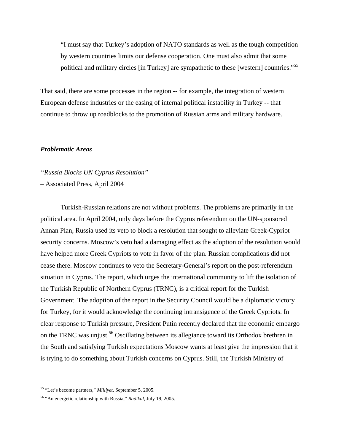"I must say that Turkey's adoption of NATO standards as well as the tough competition by western countries limits our defense cooperation. One must also admit that some political and military circles [in Turkey] are sympathetic to these [western] countries."[55](#page-17-0)

That said, there are some processes in the region -- for example, the integration of western European defense industries or the easing of internal political instability in Turkey -- that continue to throw up roadblocks to the promotion of Russian arms and military hardware.

# *Problematic Areas*

*"Russia Blocks UN Cyprus Resolution"* 

– Associated Press, April 2004

Turkish-Russian relations are not without problems. The problems are primarily in the political area. In April 2004, only days before the Cyprus referendum on the UN-sponsored Annan Plan, Russia used its veto to block a resolution that sought to alleviate Greek-Cypriot security concerns. Moscow's veto had a damaging effect as the adoption of the resolution would have helped more Greek Cypriots to vote in favor of the plan. Russian complications did not cease there. Moscow continues to veto the Secretary-General's report on the post-referendum situation in Cyprus. The report, which urges the international community to lift the isolation of the Turkish Republic of Northern Cyprus (TRNC), is a critical report for the Turkish Government. The adoption of the report in the Security Council would be a diplomatic victory for Turkey, for it would acknowledge the continuing intransigence of the Greek Cypriots. In clear response to Turkish pressure, President Putin recently declared that the economic embargo on the TRNC was unjust.<sup>56</sup> Oscillating between its allegiance toward its Orthodox brethren in the South and satisfying Turkish expectations Moscow wants at least give the impression that it is trying to do something about Turkish concerns on Cyprus. Still, the Turkish Ministry of

<u>.</u>

<span id="page-17-0"></span><sup>55 &</sup>quot;Let's become partners," *Milliyet*, September 5, 2005.

<span id="page-17-1"></span><sup>56 &</sup>quot;An energetic relationship with Russia," *Radikal*, July 19, 2005.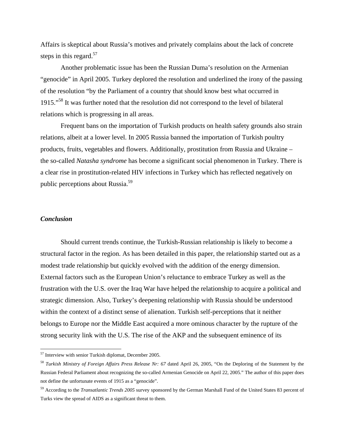Affairs is skeptical about Russia's motives and privately complains about the lack of concrete steps in this regard. $57$ 

Another problematic issue has been the Russian Duma's resolution on the Armenian "genocide" in April 2005. Turkey deplored the resolution and underlined the irony of the passing of the resolution "by the Parliament of a country that should know best what occurred in 1915."[58](#page-18-1) It was further noted that the resolution did not correspond to the level of bilateral relations which is progressing in all areas.

Frequent bans on the importation of Turkish products on health safety grounds also strain relations, albeit at a lower level. In 2005 Russia banned the importation of Turkish poultry products, fruits, vegetables and flowers. Additionally, prostitution from Russia and Ukraine – the so-called *Natasha syndrome* has become a significant social phenomenon in Turkey. There is a clear rise in prostitution-related HIV infections in Turkey which has reflected negatively on public perceptions about Russia.[59](#page-18-2) 

### *Conclusion*

 $\overline{a}$ 

Should current trends continue, the Turkish-Russian relationship is likely to become a structural factor in the region. As has been detailed in this paper, the relationship started out as a modest trade relationship but quickly evolved with the addition of the energy dimension. External factors such as the European Union's reluctance to embrace Turkey as well as the frustration with the U.S. over the Iraq War have helped the relationship to acquire a political and strategic dimension. Also, Turkey's deepening relationship with Russia should be understood within the context of a distinct sense of alienation. Turkish self-perceptions that it neither belongs to Europe nor the Middle East acquired a more ominous character by the rupture of the strong security link with the U.S. The rise of the AKP and the subsequent eminence of its

<span id="page-18-0"></span><sup>57</sup> Interview with senior Turkish diplomat, December 2005.

<span id="page-18-1"></span><sup>58</sup> *Turkish Ministry of Foreign Affairs Press Release Nr: 67* dated April 26, 2005, "On the Deploring of the Statement by the Russian Federal Parliament about recognizing the so-called Armenian Genocide on April 22, 2005." The author of this paper does not define the unfortunate events of 1915 as a "genocide".

<span id="page-18-2"></span><sup>59</sup> According to the *Transatlantic Trends 2005* survey sponsored by the German Marshall Fund of the United States 83 percent of Turks view the spread of AIDS as a significant threat to them.